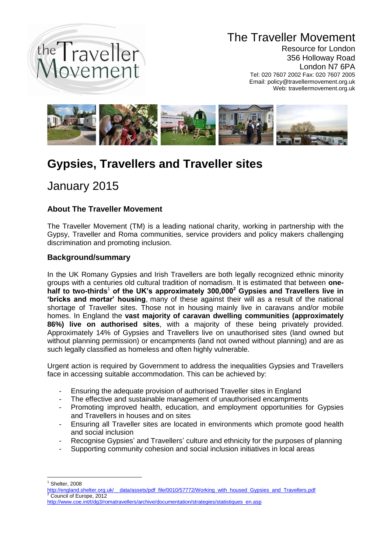

## The Traveller Movement

Resource for London 356 Holloway Road London N7 6PA Tel: 020 7607 2002 Fax: 020 7607 2005 Email: policy@travellermovement.org.uk Web: travellermovement.org.uk



# **Gypsies, Travellers and Traveller sites**

## January 2015

### **About The Traveller Movement**

The Traveller Movement (TM) is a leading national charity, working in partnership with the Gypsy, Traveller and Roma communities, service providers and policy makers challenging discrimination and promoting inclusion.

### **Background/summary**

In the UK Romany Gypsies and Irish Travellers are both legally recognized ethnic minority groups with a centuries old cultural tradition of nomadism. It is estimated that between **one**half to two-thirds<sup>1</sup> of the UK's approximately 300,000<sup>2</sup> Gypsies and Travellers live in **'bricks and mortar' housing**, many of these against their will as a result of the national shortage of Traveller sites. Those not in housing mainly live in caravans and/or mobile homes. In England the **vast majority of caravan dwelling communities (approximately 86%) live on authorised sites**, with a majority of these being privately provided. Approximately 14% of Gypsies and Travellers live on unauthorised sites (land owned but without planning permission) or encampments (land not owned without planning) and are as such legally classified as homeless and often highly vulnerable.

Urgent action is required by Government to address the inequalities Gypsies and Travellers face in accessing suitable accommodation. This can be achieved by:

- Ensuring the adequate provision of authorised Traveller sites in England
- The effective and sustainable management of unauthorised encampments
- Promoting improved health, education, and employment opportunities for Gypsies and Travellers in houses and on sites
- Ensuring all Traveller sites are located in environments which promote good health and social inclusion
- Recognise Gypsies' and Travellers' culture and ethnicity for the purposes of planning
- Supporting community cohesion and social inclusion initiatives in local areas

1  $<sup>1</sup>$  Shelter, 2008</sup>

<sup>&</sup>lt;u>[http://england.shelter.org.uk/\\_\\_data/assets/pdf\\_file/0010/57772/Working\\_with\\_housed\\_Gypsies\\_and\\_Travellers.pdf](http://england.shelter.org.uk/__data/assets/pdf_file/0010/57772/Working_with_housed_Gypsies_and_Travellers.pdf)</u><br><sup>2</sup> Council of Europe, 2012

[http://www.coe.int/t/dg3/romatravellers/archive/documentation/strategies/statistiques\\_en.asp](http://www.coe.int/t/dg3/romatravellers/archive/documentation/strategies/statistiques_en.asp)